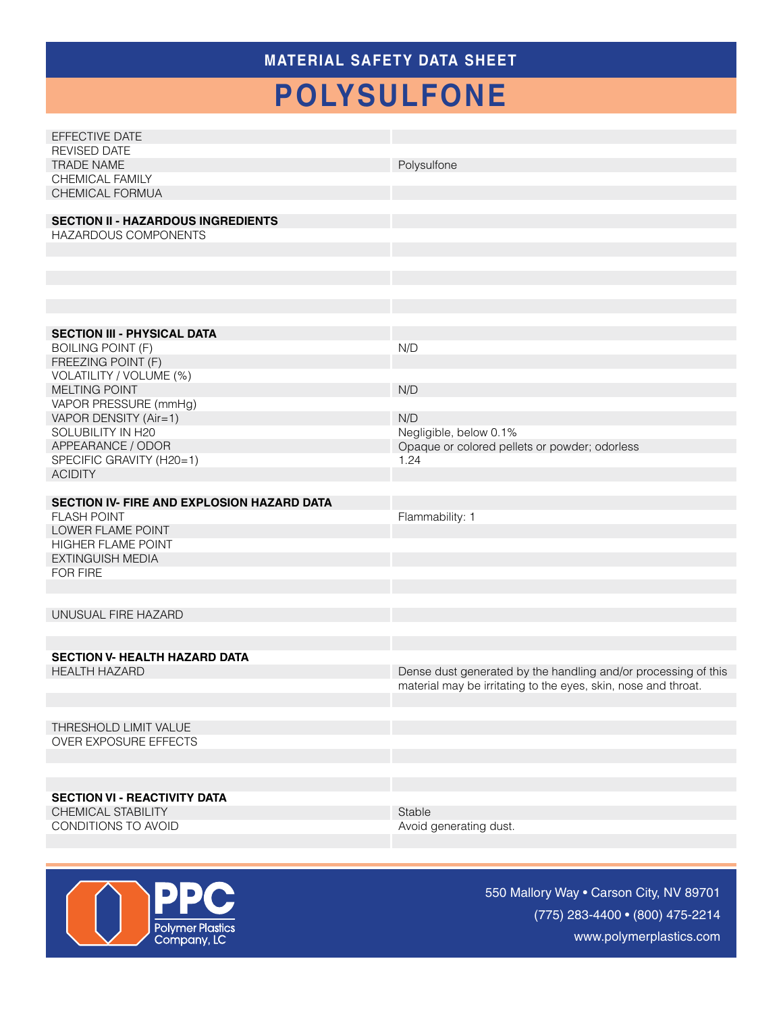### **MATERIAL SAFETY Data Sheet**

# **polysulfone**

| EFFECTIVE DATE                                                    |                                                                |
|-------------------------------------------------------------------|----------------------------------------------------------------|
| <b>REVISED DATE</b>                                               |                                                                |
| <b>TRADE NAME</b>                                                 | Polysulfone                                                    |
| <b>CHEMICAL FAMILY</b>                                            |                                                                |
| CHEMICAL FORMUA                                                   |                                                                |
|                                                                   |                                                                |
| <b>SECTION II - HAZARDOUS INGREDIENTS</b><br>HAZARDOUS COMPONENTS |                                                                |
|                                                                   |                                                                |
|                                                                   |                                                                |
|                                                                   |                                                                |
|                                                                   |                                                                |
|                                                                   |                                                                |
|                                                                   |                                                                |
| <b>SECTION III - PHYSICAL DATA</b>                                |                                                                |
| <b>BOILING POINT (F)</b>                                          | N/D                                                            |
| FREEZING POINT (F)                                                |                                                                |
| VOLATILITY / VOLUME (%)                                           |                                                                |
| <b>MELTING POINT</b>                                              | N/D                                                            |
| VAPOR PRESSURE (mmHg)                                             |                                                                |
| VAPOR DENSITY (Air=1)                                             | N/D                                                            |
| SOLUBILITY IN H20                                                 | Negligible, below 0.1%                                         |
| APPEARANCE / ODOR                                                 | Opaque or colored pellets or powder; odorless                  |
| SPECIFIC GRAVITY (H20=1)                                          | 1.24                                                           |
| <b>ACIDITY</b>                                                    |                                                                |
|                                                                   |                                                                |
|                                                                   |                                                                |
| SECTION IV- FIRE AND EXPLOSION HAZARD DATA                        |                                                                |
| <b>FLASH POINT</b>                                                | Flammability: 1                                                |
| LOWER FLAME POINT                                                 |                                                                |
| HIGHER FLAME POINT                                                |                                                                |
| EXTINGUISH MEDIA                                                  |                                                                |
| <b>FOR FIRE</b>                                                   |                                                                |
|                                                                   |                                                                |
|                                                                   |                                                                |
| UNUSUAL FIRE HAZARD                                               |                                                                |
|                                                                   |                                                                |
| <b>SECTION V- HEALTH HAZARD DATA</b>                              |                                                                |
| <b>HEALTH HAZARD</b>                                              |                                                                |
|                                                                   | Dense dust generated by the handling and/or processing of this |
|                                                                   | material may be irritating to the eyes, skin, nose and throat. |
|                                                                   |                                                                |
| THRESHOLD LIMIT VALUE                                             |                                                                |
| <b>OVER EXPOSURE EFFECTS</b>                                      |                                                                |
|                                                                   |                                                                |
|                                                                   |                                                                |
|                                                                   |                                                                |
| <b>SECTION VI - REACTIVITY DATA</b>                               |                                                                |
| CHEMICAL STABILITY                                                | Stable                                                         |
| CONDITIONS TO AVOID                                               | Avoid generating dust.                                         |



550 Mallory Way • Carson City, NV 89701 (775) 283-4400 • (800) 475-2214 www.polymerplastics.com